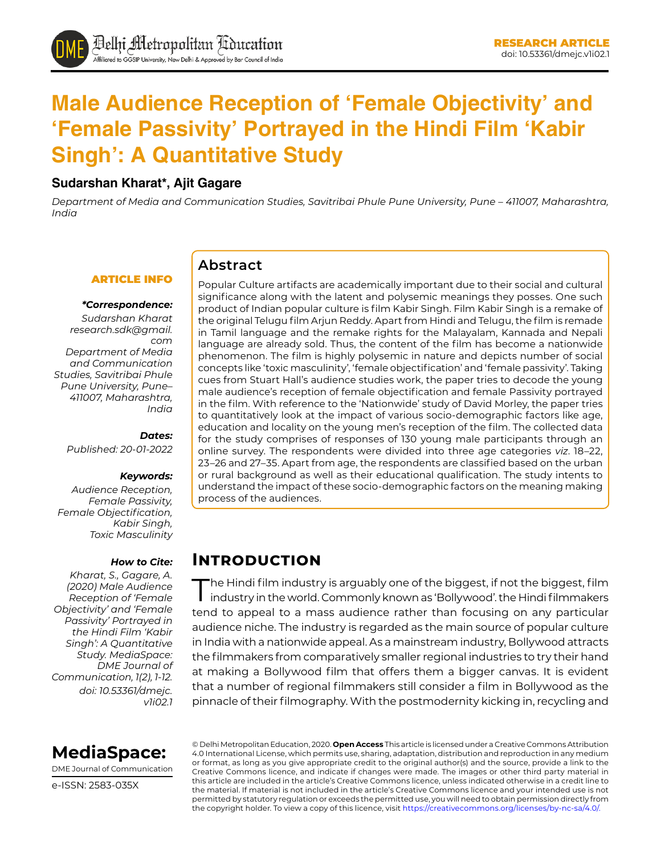# **Male Audience Reception of 'Female Objectivity' and 'Female Passivity' Portrayed in the Hindi Film 'Kabir Singh': A Quantitative Study**

### **Sudarshan Kharat\*, Ajit Gagare**

*Department of Media and Communication Studies, Savitribai Phule Pune University, Pune – 411007, Maharashtra, India*

#### ARTICLE INFO

#### *\*Correspondence:*

*Sudarshan Kharat [research.sdk@gmail.](mailto:research.sdk@gmail.com) [com](mailto:research.sdk@gmail.com) Department of Media and Communication Studies, Savitribai Phule Pune University, Pune– 411007, Maharashtra, India*

*Dates: Published: 20-01-2022*

#### *Keywords:*

*Audience Reception, Female Passivity, Female Objectification, Kabir Singh, Toxic Masculinity*

#### *How to Cite:*

*Kharat, S., Gagare, A. (2020) Male Audience Reception of 'Female Objectivity' and 'Female Passivity' Portrayed in the Hindi Film 'Kabir Singh': A Quantitative Study. MediaSpace: DME Journal of Communication, 1(2), 1-12. doi: 10.53361/dmejc. v1i02.1* Popular Culture artifacts are academically important due to their social and cultural significance along with the latent and polysemic meanings they posses. One such product of Indian popular culture is film Kabir Singh. Film Kabir Singh is a remake of the original Telugu film Arjun Reddy. Apart from Hindi and Telugu, the film is remade in Tamil language and the remake rights for the Malayalam, Kannada and Nepali language are already sold. Thus, the content of the film has become a nationwide phenomenon. The film is highly polysemic in nature and depicts number of social concepts like 'toxic masculinity', 'female objectification' and 'female passivity'. Taking cues from Stuart Hall's audience studies work, the paper tries to decode the young male audience's reception of female objectification and female Passivity portrayed in the film. With reference to the 'Nationwide' study of David Morley, the paper tries to quantitatively look at the impact of various socio-demographic factors like age, education and locality on the young men's reception of the film. The collected data for the study comprises of responses of 130 young male participants through an online survey. The respondents were divided into three age categories *viz*. 18–22, 23–26 and 27–35. Apart from age, the respondents are classified based on the urban or rural background as well as their educational qualification. The study intents to understand the impact of these socio-demographic factors on the meaning making process of the audiences.

### **Introduction**

**Abstract**

The Hindi film industry is arguably one of the biggest, if not the biggest, film industry in the world. Commonly known as 'Bollywood'. the Hindi filmmakers tend to appeal to a mass audience rather than focusing on any particular audience niche. The industry is regarded as the main source of popular culture in India with a nationwide appeal. As a mainstream industry, Bollywood attracts the filmmakers from comparatively smaller regional industries to try their hand at making a Bollywood film that offers them a bigger canvas. It is evident that a number of regional filmmakers still consider a film in Bollywood as the pinnacle of their filmography. With the postmodernity kicking in, recycling and



DME Journal of Communication

e-ISSN: 2583-035X

© Delhi Metropolitan Education, 2020. **Open Access** This article is licensed under a Creative Commons Attribution 4.0 International License, which permits use, sharing, adaptation, distribution and reproduction in any medium or format, as long as you give appropriate credit to the original author(s) and the source, provide a link to the Creative Commons licence, and indicate if changes were made. The images or other third party material in this article are included in the article's Creative Commons licence, unless indicated otherwise in a credit line to the material. If material is not included in the article's Creative Commons licence and your intended use is not permitted by statutory regulation or exceeds the permitted use, you will need to obtain permission directly from the copyright holder. To view a copy of this licence, visit https://creativecommons.org/licenses/by-nc-sa/4.0/.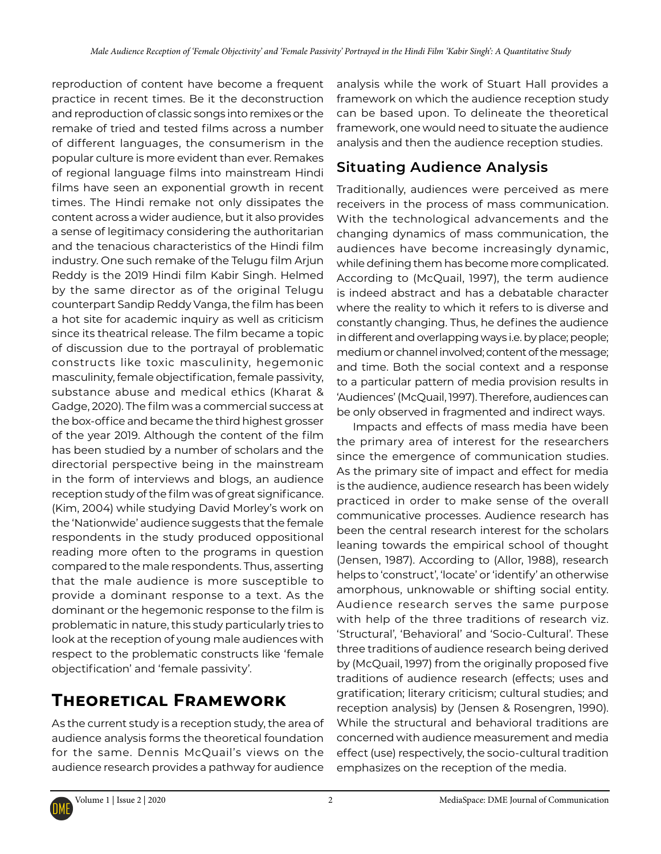reproduction of content have become a frequent practice in recent times. Be it the deconstruction and reproduction of classic songs into remixes or the remake of tried and tested films across a number of different languages, the consumerism in the popular culture is more evident than ever. Remakes of regional language films into mainstream Hindi films have seen an exponential growth in recent times. The Hindi remake not only dissipates the content across a wider audience, but it also provides a sense of legitimacy considering the authoritarian and the tenacious characteristics of the Hindi film industry. One such remake of the Telugu film Arjun Reddy is the 2019 Hindi film Kabir Singh. Helmed by the same director as of the original Telugu counterpart Sandip Reddy Vanga, the film has been a hot site for academic inquiry as well as criticism since its theatrical release. The film became a topic of discussion due to the portrayal of problematic constructs like toxic masculinity, hegemonic masculinity, female objectification, female passivity, substance abuse and medical ethics (Kharat & Gadge, 2020). The film was a commercial success at the box-office and became the third highest grosser of the year 2019. Although the content of the film has been studied by a number of scholars and the directorial perspective being in the mainstream in the form of interviews and blogs, an audience reception study of the film was of great significance. (Kim, 2004) while studying David Morley's work on the 'Nationwide' audience suggests that the female respondents in the study produced oppositional reading more often to the programs in question compared to the male respondents. Thus, asserting that the male audience is more susceptible to provide a dominant response to a text. As the dominant or the hegemonic response to the film is problematic in nature, this study particularly tries to look at the reception of young male audiences with respect to the problematic constructs like 'female objectification' and 'female passivity'.

## **Theoretical Framework**

As the current study is a reception study, the area of audience analysis forms the theoretical foundation for the same. Dennis McQuail's views on the audience research provides a pathway for audience

analysis while the work of Stuart Hall provides a framework on which the audience reception study can be based upon. To delineate the theoretical framework, one would need to situate the audience analysis and then the audience reception studies.

### **Situating Audience Analysis**

Traditionally, audiences were perceived as mere receivers in the process of mass communication. With the technological advancements and the changing dynamics of mass communication, the audiences have become increasingly dynamic, while defining them has become more complicated. According to (McQuail, 1997), the term audience is indeed abstract and has a debatable character where the reality to which it refers to is diverse and constantly changing. Thus, he defines the audience in different and overlapping ways i.e. by place; people; medium or channel involved; content of the message; and time. Both the social context and a response to a particular pattern of media provision results in 'Audiences' (McQuail, 1997). Therefore, audiences can be only observed in fragmented and indirect ways.

Impacts and effects of mass media have been the primary area of interest for the researchers since the emergence of communication studies. As the primary site of impact and effect for media is the audience, audience research has been widely practiced in order to make sense of the overall communicative processes. Audience research has been the central research interest for the scholars leaning towards the empirical school of thought (Jensen, 1987). According to (Allor, 1988), research helps to 'construct', 'locate' or 'identify' an otherwise amorphous, unknowable or shifting social entity. Audience research serves the same purpose with help of the three traditions of research viz. 'Structural', 'Behavioral' and 'Socio-Cultural'. These three traditions of audience research being derived by (McQuail, 1997) from the originally proposed five traditions of audience research (effects; uses and gratification; literary criticism; cultural studies; and reception analysis) by (Jensen & Rosengren, 1990). While the structural and behavioral traditions are concerned with audience measurement and media effect (use) respectively, the socio-cultural tradition emphasizes on the reception of the media.

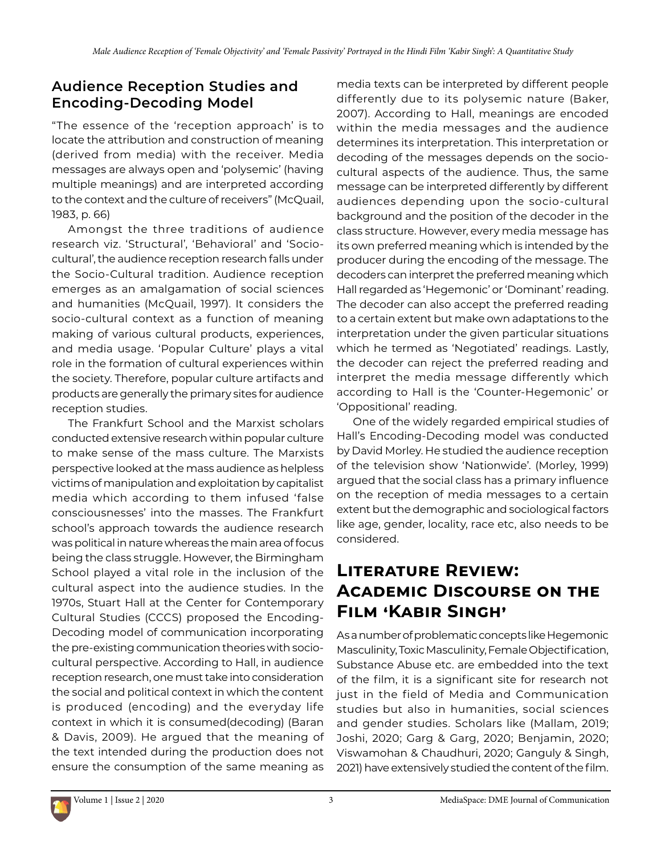### **Audience Reception Studies and Encoding-Decoding Model**

"The essence of the 'reception approach' is to locate the attribution and construction of meaning (derived from media) with the receiver. Media messages are always open and 'polysemic' (having multiple meanings) and are interpreted according to the context and the culture of receivers" (McQuail, 1983, p. 66)

Amongst the three traditions of audience research viz. 'Structural', 'Behavioral' and 'Sociocultural', the audience reception research falls under the Socio-Cultural tradition. Audience reception emerges as an amalgamation of social sciences and humanities (McQuail, 1997). It considers the socio-cultural context as a function of meaning making of various cultural products, experiences, and media usage. 'Popular Culture' plays a vital role in the formation of cultural experiences within the society. Therefore, popular culture artifacts and products are generally the primary sites for audience reception studies.

The Frankfurt School and the Marxist scholars conducted extensive research within popular culture to make sense of the mass culture. The Marxists perspective looked at the mass audience as helpless victims of manipulation and exploitation by capitalist media which according to them infused 'false consciousnesses' into the masses. The Frankfurt school's approach towards the audience research was political in nature whereas the main area of focus being the class struggle. However, the Birmingham School played a vital role in the inclusion of the cultural aspect into the audience studies. In the 1970s, Stuart Hall at the Center for Contemporary Cultural Studies (CCCS) proposed the Encoding-Decoding model of communication incorporating the pre-existing communication theories with sociocultural perspective. According to Hall, in audience reception research, one must take into consideration the social and political context in which the content is produced (encoding) and the everyday life context in which it is consumed(decoding) (Baran & Davis, 2009). He argued that the meaning of the text intended during the production does not ensure the consumption of the same meaning as

media texts can be interpreted by different people differently due to its polysemic nature (Baker, 2007). According to Hall, meanings are encoded within the media messages and the audience determines its interpretation. This interpretation or decoding of the messages depends on the sociocultural aspects of the audience. Thus, the same message can be interpreted differently by different audiences depending upon the socio-cultural background and the position of the decoder in the class structure. However, every media message has its own preferred meaning which is intended by the producer during the encoding of the message. The decoders can interpret the preferred meaning which Hall regarded as 'Hegemonic' or 'Dominant' reading. The decoder can also accept the preferred reading to a certain extent but make own adaptations to the interpretation under the given particular situations which he termed as 'Negotiated' readings. Lastly, the decoder can reject the preferred reading and interpret the media message differently which according to Hall is the 'Counter-Hegemonic' or 'Oppositional' reading.

One of the widely regarded empirical studies of Hall's Encoding-Decoding model was conducted by David Morley. He studied the audience reception of the television show 'Nationwide'. (Morley, 1999) argued that the social class has a primary influence on the reception of media messages to a certain extent but the demographic and sociological factors like age, gender, locality, race etc, also needs to be considered.

## **Literature Review: Academic Discourse on the Film 'Kabir Singh'**

As a number of problematic concepts like Hegemonic Masculinity, Toxic Masculinity, Female Objectification, Substance Abuse etc. are embedded into the text of the film, it is a significant site for research not just in the field of Media and Communication studies but also in humanities, social sciences and gender studies. Scholars like (Mallam, 2019; Joshi, 2020; Garg & Garg, 2020; Benjamin, 2020; Viswamohan & Chaudhuri, 2020; Ganguly & Singh, 2021) have extensively studied the content of the film.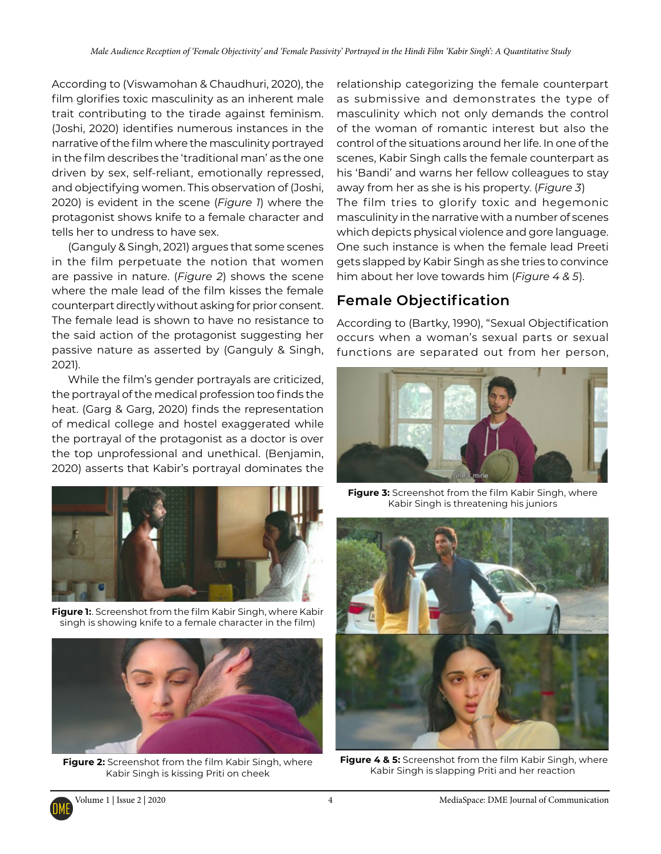According to (Viswamohan & Chaudhuri, 2020), the film glorifies toxic masculinity as an inherent male trait contributing to the tirade against feminism. (Joshi, 2020) identifies numerous instances in the narrative of the film where the masculinity portrayed in the film describes the 'traditional man' as the one driven by sex, self-reliant, emotionally repressed, and objectifying women. This observation of (Joshi, 2020) is evident in the scene (*Figure 1*) where the protagonist shows knife to a female character and tells her to undress to have sex.

(Ganguly & Singh, 2021) argues that some scenes in the film perpetuate the notion that women are passive in nature. (*Figure 2*) shows the scene where the male lead of the film kisses the female counterpart directly without asking for prior consent. The female lead is shown to have no resistance to the said action of the protagonist suggesting her passive nature as asserted by (Ganguly & Singh, 2021).

While the film's gender portrayals are criticized, the portrayal of the medical profession too finds the heat. (Garg & Garg, 2020) finds the representation of medical college and hostel exaggerated while the portrayal of the protagonist as a doctor is over the top unprofessional and unethical. (Benjamin, 2020) asserts that Kabir's portrayal dominates the



**Figure 1:**. Screenshot from the film Kabir Singh, where Kabir singh is showing knife to a female character in the film)



**Figure 2:** Screenshot from the film Kabir Singh, where Kabir Singh is kissing Priti on cheek

relationship categorizing the female counterpart as submissive and demonstrates the type of masculinity which not only demands the control of the woman of romantic interest but also the control of the situations around her life. In one of the scenes, Kabir Singh calls the female counterpart as his 'Bandi' and warns her fellow colleagues to stay away from her as she is his property. (*Figure 3*) The film tries to glorify toxic and hegemonic masculinity in the narrative with a number of scenes which depicts physical violence and gore language. One such instance is when the female lead Preeti gets slapped by Kabir Singh as she tries to convince him about her love towards him (*Figure 4 & 5*).

### **Female Objectification**

According to (Bartky, 1990), "Sexual Objectification occurs when a woman's sexual parts or sexual functions are separated out from her person,



**Figure 3:** Screenshot from the film Kabir Singh, where Kabir Singh is threatening his juniors



**Figure 4 & 5:** Screenshot from the film Kabir Singh, where Kabir Singh is slapping Priti and her reaction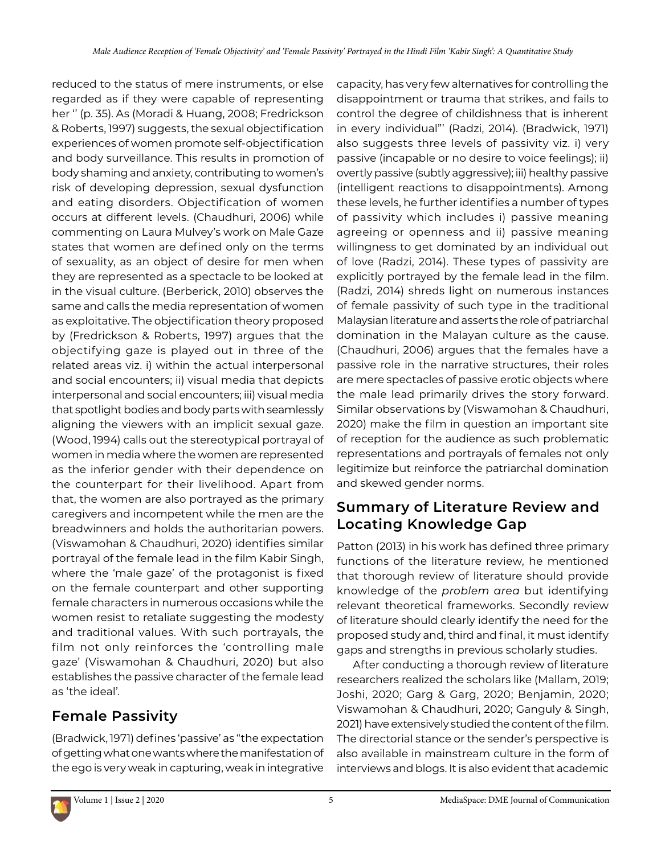reduced to the status of mere instruments, or else regarded as if they were capable of representing her '' (p. 35). As (Moradi & Huang, 2008; Fredrickson & Roberts, 1997) suggests, the sexual objectification experiences of women promote self-objectification and body surveillance. This results in promotion of body shaming and anxiety, contributing to women's risk of developing depression, sexual dysfunction and eating disorders. Objectification of women occurs at different levels. (Chaudhuri, 2006) while commenting on Laura Mulvey's work on Male Gaze states that women are defined only on the terms of sexuality, as an object of desire for men when they are represented as a spectacle to be looked at in the visual culture. (Berberick, 2010) observes the same and calls the media representation of women as exploitative. The objectification theory proposed by (Fredrickson & Roberts, 1997) argues that the objectifying gaze is played out in three of the related areas viz. i) within the actual interpersonal and social encounters; ii) visual media that depicts interpersonal and social encounters; iii) visual media that spotlight bodies and body parts with seamlessly aligning the viewers with an implicit sexual gaze. (Wood, 1994) calls out the stereotypical portrayal of women in media where the women are represented as the inferior gender with their dependence on the counterpart for their livelihood. Apart from that, the women are also portrayed as the primary caregivers and incompetent while the men are the breadwinners and holds the authoritarian powers. (Viswamohan & Chaudhuri, 2020) identifies similar portrayal of the female lead in the film Kabir Singh, where the 'male gaze' of the protagonist is fixed on the female counterpart and other supporting female characters in numerous occasions while the women resist to retaliate suggesting the modesty and traditional values. With such portrayals, the film not only reinforces the 'controlling male gaze' (Viswamohan & Chaudhuri, 2020) but also establishes the passive character of the female lead as 'the ideal'.

### **Female Passivity**

(Bradwick, 1971) defines 'passive' as "the expectation of getting what one wants where the manifestation of the ego is very weak in capturing, weak in integrative

capacity, has very few alternatives for controlling the disappointment or trauma that strikes, and fails to control the degree of childishness that is inherent in every individual"' (Radzi, 2014). (Bradwick, 1971) also suggests three levels of passivity viz. i) very passive (incapable or no desire to voice feelings); ii) overtly passive (subtly aggressive); iii) healthy passive (intelligent reactions to disappointments). Among these levels, he further identifies a number of types of passivity which includes i) passive meaning agreeing or openness and ii) passive meaning willingness to get dominated by an individual out of love (Radzi, 2014). These types of passivity are explicitly portrayed by the female lead in the film. (Radzi, 2014) shreds light on numerous instances of female passivity of such type in the traditional Malaysian literature and asserts the role of patriarchal domination in the Malayan culture as the cause. (Chaudhuri, 2006) argues that the females have a passive role in the narrative structures, their roles are mere spectacles of passive erotic objects where the male lead primarily drives the story forward. Similar observations by (Viswamohan & Chaudhuri, 2020) make the film in question an important site of reception for the audience as such problematic representations and portrayals of females not only legitimize but reinforce the patriarchal domination and skewed gender norms.

### **Summary of Literature Review and Locating Knowledge Gap**

Patton (2013) in his work has defined three primary functions of the literature review, he mentioned that thorough review of literature should provide knowledge of the *problem area* but identifying relevant theoretical frameworks. Secondly review of literature should clearly identify the need for the proposed study and, third and final, it must identify gaps and strengths in previous scholarly studies.

After conducting a thorough review of literature researchers realized the scholars like (Mallam, 2019; Joshi, 2020; Garg & Garg, 2020; Benjamin, 2020; Viswamohan & Chaudhuri, 2020; Ganguly & Singh, 2021) have extensively studied the content of the film. The directorial stance or the sender's perspective is also available in mainstream culture in the form of interviews and blogs. It is also evident that academic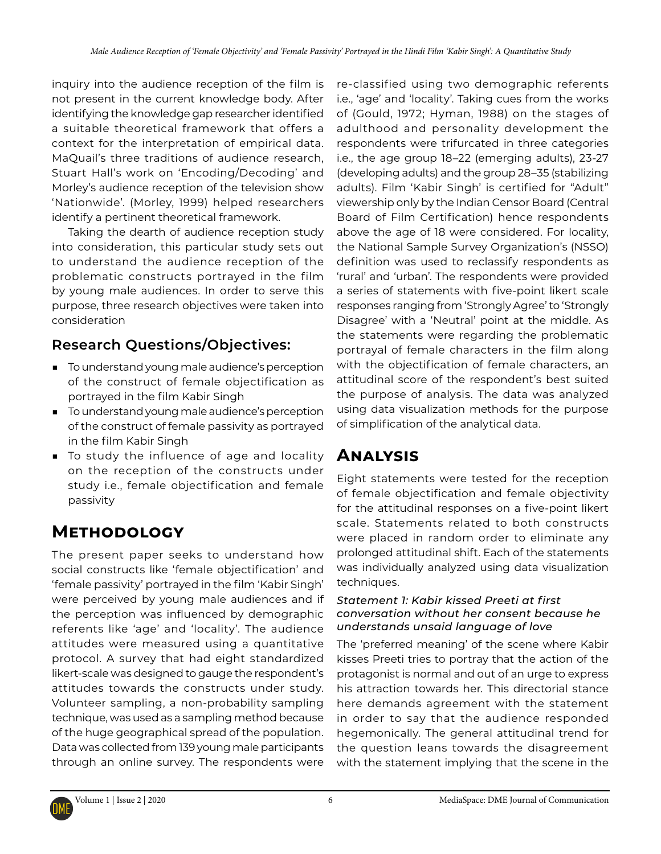inquiry into the audience reception of the film is not present in the current knowledge body. After identifying the knowledge gap researcher identified a suitable theoretical framework that offers a context for the interpretation of empirical data. MaQuail's three traditions of audience research, Stuart Hall's work on 'Encoding/Decoding' and Morley's audience reception of the television show 'Nationwide'. (Morley, 1999) helped researchers identify a pertinent theoretical framework.

Taking the dearth of audience reception study into consideration, this particular study sets out to understand the audience reception of the problematic constructs portrayed in the film by young male audiences. In order to serve this purpose, three research objectives were taken into consideration

### **Research Questions/Objectives:**

- To understand young male audience's perception of the construct of female objectification as portrayed in the film Kabir Singh
- To understand young male audience's perception of the construct of female passivity as portrayed in the film Kabir Singh
- To study the influence of age and locality on the reception of the constructs under study i.e., female objectification and female passivity

## **Methodology**

The present paper seeks to understand how social constructs like 'female objectification' and 'female passivity' portrayed in the film 'Kabir Singh' were perceived by young male audiences and if the perception was influenced by demographic referents like 'age' and 'locality'. The audience attitudes were measured using a quantitative protocol. A survey that had eight standardized likert-scale was designed to gauge the respondent's attitudes towards the constructs under study. Volunteer sampling, a non-probability sampling technique, was used as a sampling method because of the huge geographical spread of the population. Data was collected from 139 young male participants through an online survey. The respondents were

re-classified using two demographic referents i.e., 'age' and 'locality'. Taking cues from the works of (Gould, 1972; Hyman, 1988) on the stages of adulthood and personality development the respondents were trifurcated in three categories i.e., the age group 18–22 (emerging adults), 23-27 (developing adults) and the group 28–35 (stabilizing adults). Film 'Kabir Singh' is certified for "Adult" viewership only by the Indian Censor Board (Central Board of Film Certification) hence respondents above the age of 18 were considered. For locality, the National Sample Survey Organization's (NSSO) definition was used to reclassify respondents as 'rural' and 'urban'. The respondents were provided a series of statements with five-point likert scale responses ranging from 'Strongly Agree' to 'Strongly Disagree' with a 'Neutral' point at the middle. As the statements were regarding the problematic portrayal of female characters in the film along with the objectification of female characters, an attitudinal score of the respondent's best suited the purpose of analysis. The data was analyzed using data visualization methods for the purpose of simplification of the analytical data.

## **Analysis**

Eight statements were tested for the reception of female objectification and female objectivity for the attitudinal responses on a five-point likert scale. Statements related to both constructs were placed in random order to eliminate any prolonged attitudinal shift. Each of the statements was individually analyzed using data visualization techniques.

#### *Statement 1: Kabir kissed Preeti at first conversation without her consent because he understands unsaid language of love*

The 'preferred meaning' of the scene where Kabir kisses Preeti tries to portray that the action of the protagonist is normal and out of an urge to express his attraction towards her. This directorial stance here demands agreement with the statement in order to say that the audience responded hegemonically. The general attitudinal trend for the question leans towards the disagreement with the statement implying that the scene in the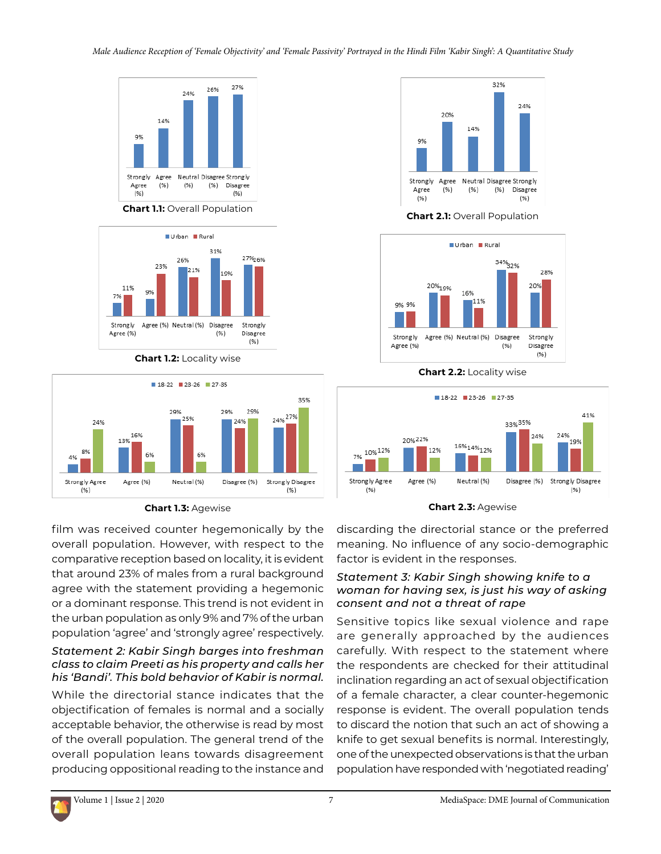

**Chart 1.1:** Overall Population



**Chart 1.2:** Locality wise



**Chart 1.3:** Agewise

film was received counter hegemonically by the overall population. However, with respect to the comparative reception based on locality, it is evident that around 23% of males from a rural background agree with the statement providing a hegemonic or a dominant response. This trend is not evident in the urban population as only 9% and 7% of the urban population 'agree' and 'strongly agree' respectively.

### *Statement 2: Kabir Singh barges into freshman class to claim Preeti as his property and calls her his 'Bandi'. This bold behavior of Kabir is normal.*

While the directorial stance indicates that the objectification of females is normal and a socially acceptable behavior, the otherwise is read by most of the overall population. The general trend of the overall population leans towards disagreement producing oppositional reading to the instance and



**Chart 2.1:** Overall Population



**Chart 2.2:** Locality wise





discarding the directorial stance or the preferred meaning. No influence of any socio-demographic factor is evident in the responses.

### *Statement 3: Kabir Singh showing knife to a woman for having sex, is just his way of asking consent and not a threat of rape*

Sensitive topics like sexual violence and rape are generally approached by the audiences carefully. With respect to the statement where the respondents are checked for their attitudinal inclination regarding an act of sexual objectification of a female character, a clear counter-hegemonic response is evident. The overall population tends to discard the notion that such an act of showing a knife to get sexual benefits is normal. Interestingly, one of the unexpected observations is that the urban population have responded with 'negotiated reading'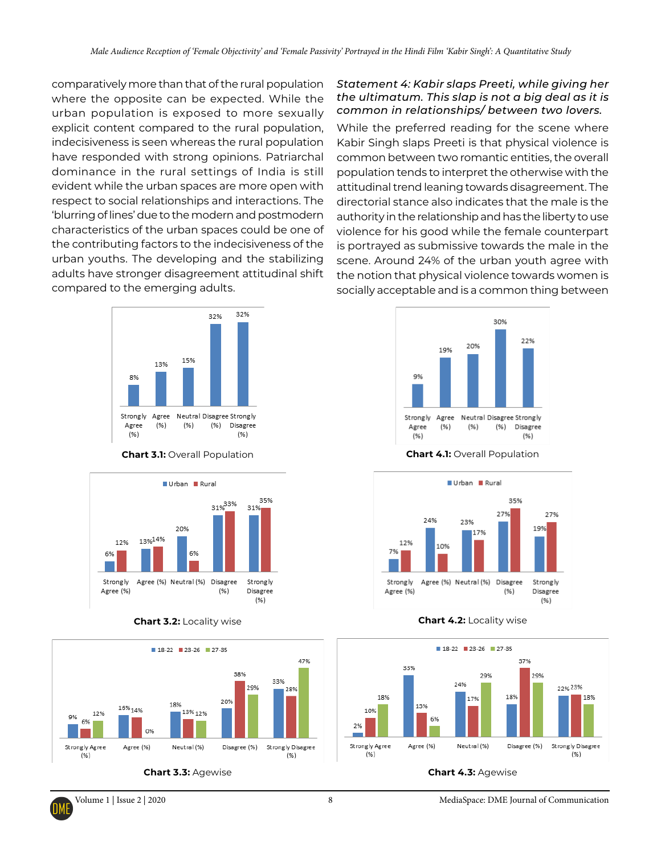comparatively more than that of the rural population where the opposite can be expected. While the urban population is exposed to more sexually explicit content compared to the rural population, indecisiveness is seen whereas the rural population have responded with strong opinions. Patriarchal dominance in the rural settings of India is still evident while the urban spaces are more open with respect to social relationships and interactions. The 'blurring of lines' due to the modern and postmodern characteristics of the urban spaces could be one of the contributing factors to the indecisiveness of the urban youths. The developing and the stabilizing adults have stronger disagreement attitudinal shift compared to the emerging adults.



**Chart 3.1:** Overall Population



**Chart 3.2:** Locality wise



**Chart 3.3:** Agewise

#### *Statement 4: Kabir slaps Preeti, while giving her the ultimatum. This slap is not a big deal as it is common in relationships/ between two lovers.*

While the preferred reading for the scene where Kabir Singh slaps Preeti is that physical violence is common between two romantic entities, the overall population tends to interpret the otherwise with the attitudinal trend leaning towards disagreement. The directorial stance also indicates that the male is the authority in the relationship and has the liberty to use violence for his good while the female counterpart is portrayed as submissive towards the male in the scene. Around 24% of the urban youth agree with the notion that physical violence towards women is socially acceptable and is a common thing between



**Chart 4.1:** Overall Population



**Chart 4.2:** Locality wise



**Chart 4.3:** Agewise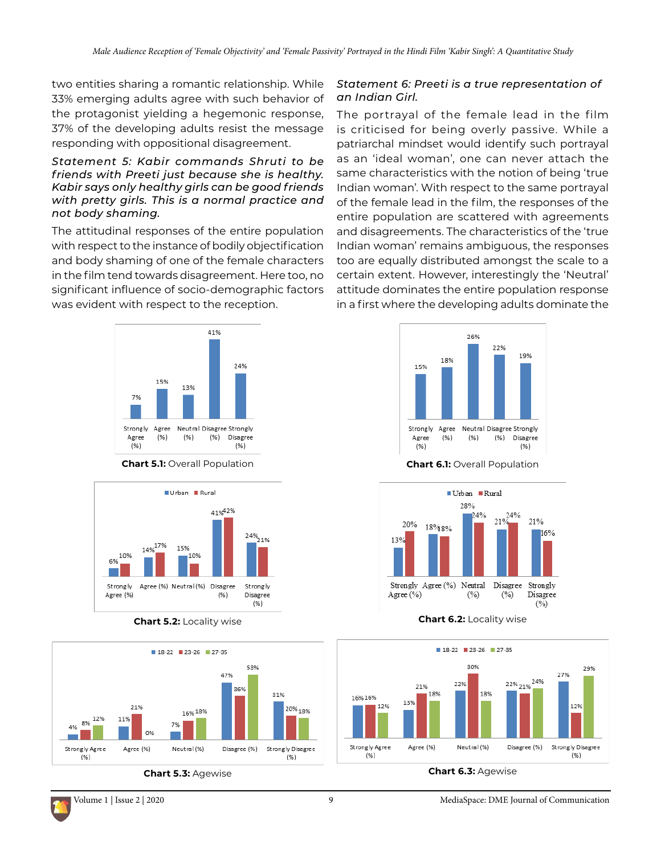two entities sharing a romantic relationship. While 33% emerging adults agree with such behavior of the protagonist yielding a hegemonic response, 37% of the developing adults resist the message responding with oppositional disagreement.

#### *Statement 5: Kabir commands Shruti to be friends with Preeti just because she is healthy. Kabir says only healthy girls can be good friends with pretty girls. This is a normal practice and not body shaming.*

The attitudinal responses of the entire population with respect to the instance of bodily objectification and body shaming of one of the female characters in the film tend towards disagreement. Here too, no significant influence of socio-demographic factors was evident with respect to the reception.



**Chart 5.1:** Overall Population **Chart 6.1:** Overall Population



**Chart 5.2:** Locality wise **Chart 6.2:** Locality wise



### *Statement 6: Preeti is a true representation of an Indian Girl.*

The portrayal of the female lead in the film is criticised for being overly passive. While a patriarchal mindset would identify such portrayal as an 'ideal woman', one can never attach the same characteristics with the notion of being 'true Indian woman'. With respect to the same portrayal of the female lead in the film, the responses of the entire population are scattered with agreements and disagreements. The characteristics of the 'true Indian woman' remains ambiguous, the responses too are equally distributed amongst the scale to a certain extent. However, interestingly the 'Neutral' attitude dominates the entire population response in a first where the developing adults dominate the





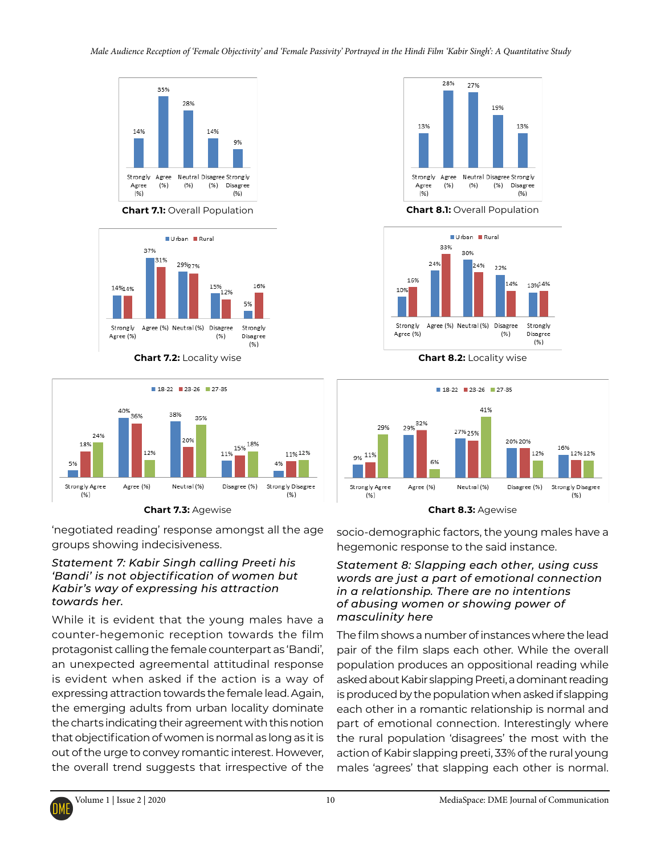

**Chart 7.1:** Overall Population **Chart 8.1:** Overall Population



**Chart 7.2:** Locality wise **Chart 8.2:** Locality wise



'negotiated reading' response amongst all the age groups showing indecisiveness.

### *Statement 7: Kabir Singh calling Preeti his 'Bandi' is not objectification of women but Kabir's way of expressing his attraction towards her.*

While it is evident that the young males have a counter-hegemonic reception towards the film protagonist calling the female counterpart as 'Bandi', an unexpected agreemental attitudinal response is evident when asked if the action is a way of expressing attraction towards the female lead. Again, the emerging adults from urban locality dominate the charts indicating their agreement with this notion that objectification of women is normal as long as it is out of the urge to convey romantic interest. However, the overall trend suggests that irrespective of the







**Chart 7.3:** Agewise **Chart 8.3:** Agewise

socio-demographic factors, the young males have a hegemonic response to the said instance.

### *Statement 8: Slapping each other, using cuss words are just a part of emotional connection in a relationship. There are no intentions of abusing women or showing power of masculinity here*

The film shows a number of instances where the lead pair of the film slaps each other. While the overall population produces an oppositional reading while asked about Kabir slapping Preeti, a dominant reading is produced by the population when asked if slapping each other in a romantic relationship is normal and part of emotional connection. Interestingly where the rural population 'disagrees' the most with the action of Kabir slapping preeti, 33% of the rural young males 'agrees' that slapping each other is normal.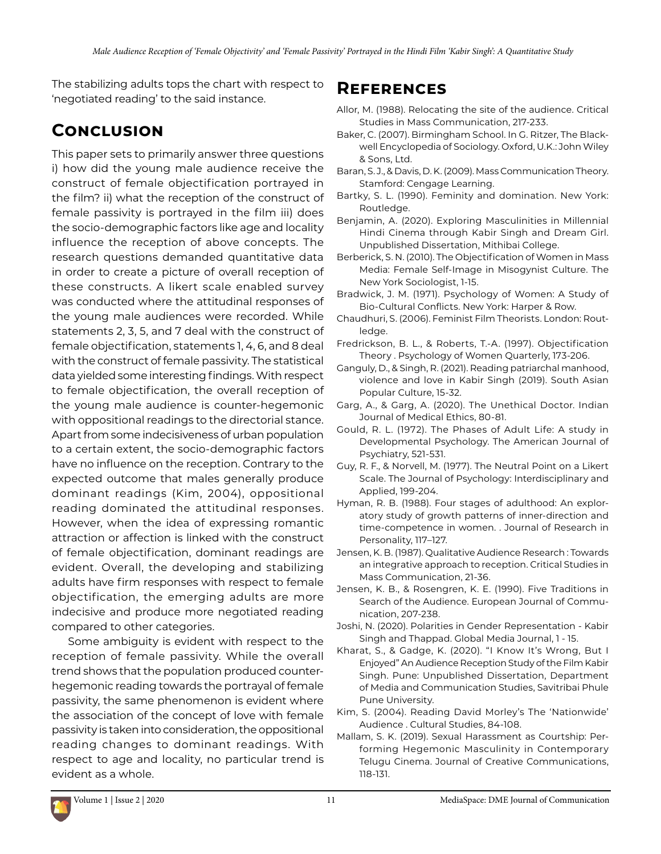The stabilizing adults tops the chart with respect to 'negotiated reading' to the said instance.

## **Conclusion**

This paper sets to primarily answer three questions i) how did the young male audience receive the construct of female objectification portrayed in the film? ii) what the reception of the construct of female passivity is portrayed in the film iii) does the socio-demographic factors like age and locality influence the reception of above concepts. The research questions demanded quantitative data in order to create a picture of overall reception of these constructs. A likert scale enabled survey was conducted where the attitudinal responses of the young male audiences were recorded. While statements 2, 3, 5, and 7 deal with the construct of female objectification, statements 1, 4, 6, and 8 deal with the construct of female passivity. The statistical data yielded some interesting findings. With respect to female objectification, the overall reception of the young male audience is counter-hegemonic with oppositional readings to the directorial stance. Apart from some indecisiveness of urban population to a certain extent, the socio-demographic factors have no influence on the reception. Contrary to the expected outcome that males generally produce dominant readings (Kim, 2004), oppositional reading dominated the attitudinal responses. However, when the idea of expressing romantic attraction or affection is linked with the construct of female objectification, dominant readings are evident. Overall, the developing and stabilizing adults have firm responses with respect to female objectification, the emerging adults are more indecisive and produce more negotiated reading compared to other categories.

Some ambiguity is evident with respect to the reception of female passivity. While the overall trend shows that the population produced counterhegemonic reading towards the portrayal of female passivity, the same phenomenon is evident where the association of the concept of love with female passivity is taken into consideration, the oppositional reading changes to dominant readings. With respect to age and locality, no particular trend is evident as a whole.

### **References**

- Allor, M. (1988). Relocating the site of the audience. Critical Studies in Mass Communication, 217-233.
- Baker, C. (2007). Birmingham School. In G. Ritzer, The Blackwell Encyclopedia of Sociology. Oxford, U.K.: John Wiley & Sons, Ltd.
- Baran, S. J., & Davis, D. K. (2009). Mass Communication Theory. Stamford: Cengage Learning.
- Bartky, S. L. (1990). Feminity and domination. New York: Routledge.
- Benjamin, A. (2020). Exploring Masculinities in Millennial Hindi Cinema through Kabir Singh and Dream Girl. Unpublished Dissertation, Mithibai College.
- Berberick, S. N. (2010). The Objectification of Women in Mass Media: Female Self-Image in Misogynist Culture. The New York Sociologist, 1-15.
- Bradwick, J. M. (1971). Psychology of Women: A Study of Bio-Cultural Conflicts. New York: Harper & Row.
- Chaudhuri, S. (2006). Feminist Film Theorists. London: Routledge.
- Fredrickson, B. L., & Roberts, T.-A. (1997). Objectification Theory . Psychology of Women Quarterly, 173-206.
- Ganguly, D., & Singh, R. (2021). Reading patriarchal manhood, violence and love in Kabir Singh (2019). South Asian Popular Culture, 15-32.
- Garg, A., & Garg, A. (2020). The Unethical Doctor. Indian Journal of Medical Ethics, 80-81.
- Gould, R. L. (1972). The Phases of Adult Life: A study in Developmental Psychology. The American Journal of Psychiatry, 521-531.
- Guy, R. F., & Norvell, M. (1977). The Neutral Point on a Likert Scale. The Journal of Psychology: Interdisciplinary and Applied, 199-204.
- Hyman, R. B. (1988). Four stages of adulthood: An exploratory study of growth patterns of inner-direction and time-competence in women. . Journal of Research in Personality, 117–127.
- Jensen, K. B. (1987). Qualitative Audience Research : Towards an integrative approach to reception. Critical Studies in Mass Communication, 21-36.
- Jensen, K. B., & Rosengren, K. E. (1990). Five Traditions in Search of the Audience. European Journal of Communication, 207-238.
- Joshi, N. (2020). Polarities in Gender Representation Kabir Singh and Thappad. Global Media Journal, 1 - 15.
- Kharat, S., & Gadge, K. (2020). "I Know It's Wrong, But I Enjoyed" An Audience Reception Study of the Film Kabir Singh. Pune: Unpublished Dissertation, Department of Media and Communication Studies, Savitribai Phule Pune University.
- Kim, S. (2004). Reading David Morley's The 'Nationwide' Audience . Cultural Studies, 84-108.
- Mallam, S. K. (2019). Sexual Harassment as Courtship: Performing Hegemonic Masculinity in Contemporary Telugu Cinema. Journal of Creative Communications, 118-131.